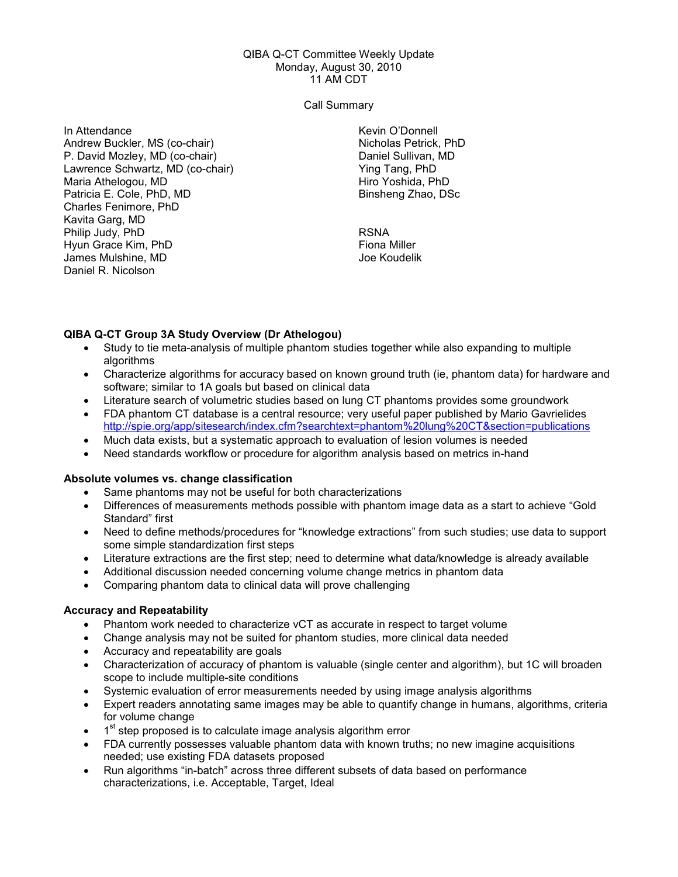#### QIBA Q-CT Committee Weekly Update Monday, August 30, 2010 11 AM CDT

#### Call Summary

In Attendance Andrew Buckler, MS (co-chair) P. David Mozley, MD (co-chair) Lawrence Schwartz, MD (co-chair) Maria Athelogou, MD Patricia E. Cole, PhD, MD Charles Fenimore, PhD Kavita Garg, MD Philip Judy, PhD Hyun Grace Kim, PhD James Mulshine, MD Daniel R. Nicolson

Kevin O'Donnell Nicholas Petrick, PhD Daniel Sullivan, MD Ying Tang, PhD Hiro Yoshida, PhD Binsheng Zhao, DSc

RSNA Fiona Miller Joe Koudelik

# QIBA Q-CT Group 3A Study Overview (Dr Athelogou)

- Study to tie meta-analysis of multiple phantom studies together while also expanding to multiple algorithms
- Characterize algorithms for accuracy based on known ground truth (ie, phantom data) for hardware and software; similar to 1A goals but based on clinical data
- Literature search of volumetric studies based on lung CT phantoms provides some groundwork
- FDA phantom CT database is a central resource; very useful paper published by Mario Gavrielides http://spie.org/app/sitesearch/index.cfm?searchtext=phantom%20lung%20CT&section=publications
- Much data exists, but a systematic approach to evaluation of lesion volumes is needed
- Need standards workflow or procedure for algorithm analysis based on metrics in-hand

# Absolute volumes vs. change classification

- Same phantoms may not be useful for both characterizations
- Differences of measurements methods possible with phantom image data as a start to achieve "Gold Standard" first
- Need to define methods/procedures for "knowledge extractions" from such studies; use data to support some simple standardization first steps
- Literature extractions are the first step; need to determine what data/knowledge is already available
- Additional discussion needed concerning volume change metrics in phantom data
- Comparing phantom data to clinical data will prove challenging

#### Accuracy and Repeatability

- Phantom work needed to characterize vCT as accurate in respect to target volume
- Change analysis may not be suited for phantom studies, more clinical data needed
- Accuracy and repeatability are goals
- Characterization of accuracy of phantom is valuable (single center and algorithm), but 1C will broaden scope to include multiple-site conditions
- Systemic evaluation of error measurements needed by using image analysis algorithms
- Expert readers annotating same images may be able to quantify change in humans, algorithms, criteria for volume change
- $\bullet$  1<sup>st</sup> step proposed is to calculate image analysis algorithm error
- FDA currently possesses valuable phantom data with known truths; no new imagine acquisitions needed; use existing FDA datasets proposed
- Run algorithms "in-batch" across three different subsets of data based on performance characterizations, i.e. Acceptable, Target, Ideal